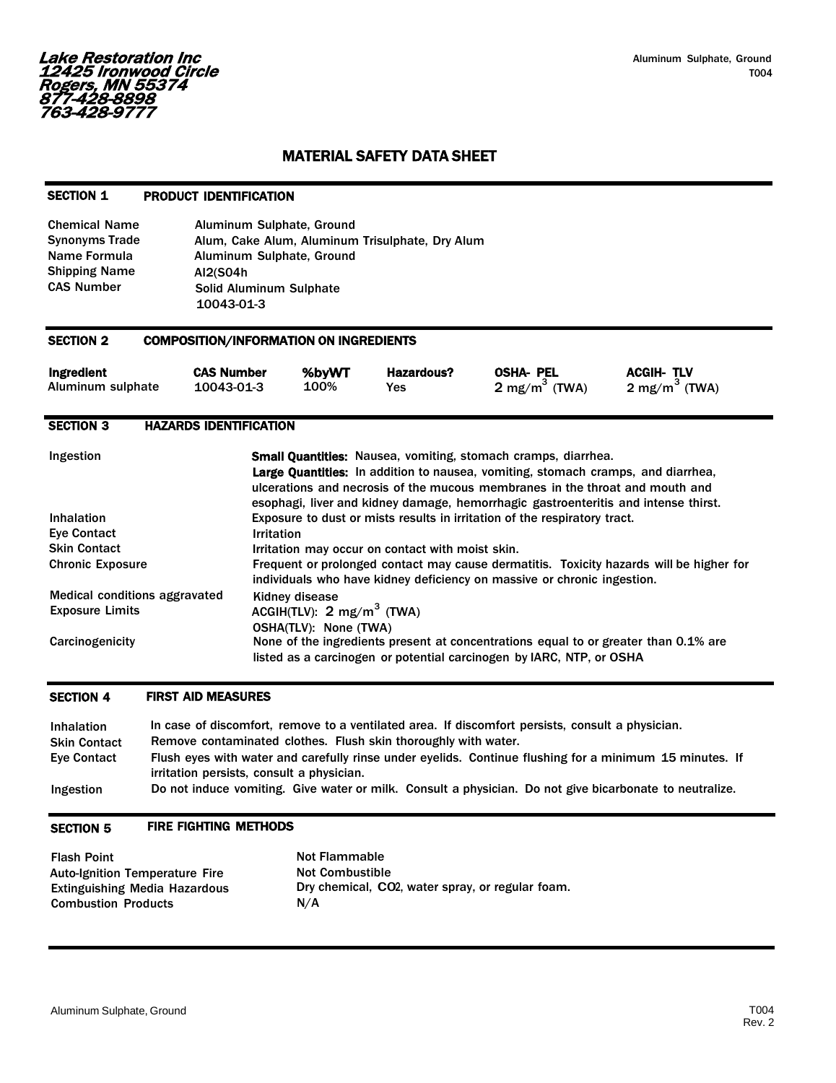# MATERIAL SAFETY DATA SHEET

# SECTION 1 PRODUCT IDENTIFICATION

| <b>Chemical Name</b>  | Aluminum Sulphate, Ground                       |
|-----------------------|-------------------------------------------------|
| <b>Synonyms Trade</b> | Alum, Cake Alum, Aluminum Trisulphate, Dry Alum |
| Name Formula          | Aluminum Sulphate, Ground                       |
| <b>Shipping Name</b>  | AI2(S04h                                        |
| <b>CAS Number</b>     | <b>Solid Aluminum Sulphate</b>                  |
|                       | 10043-01-3                                      |

#### SECTION 2 COMPOSITION/INFORMATION ON INGREDIENTS

| Ingredient        | <b>CAS Number</b> | %bvWT | Hazardous? | OSHA- PEL                | <b>ACGIH-TLV</b>         |
|-------------------|-------------------|-------|------------|--------------------------|--------------------------|
| Aluminum sulphate | 10043-01-3        | 100%  | Yes        | $2 \text{ mg/m}^3$ (TWA) | $2 \text{ mg/m}^3$ (TWA) |

# SECTION 3 HAZARDS IDENTIFICATION

| Ingestion                     | <b>Small Quantities:</b> Nausea, vomiting, stomach cramps, diarrhea.<br><b>Large Quantities:</b> In addition to nausea, vomiting, stomach cramps, and diarrhea,<br>ulcerations and necrosis of the mucous membranes in the throat and mouth and<br>esophagi, liver and kidney damage, hemorrhagic gastroenteritis and intense thirst. |
|-------------------------------|---------------------------------------------------------------------------------------------------------------------------------------------------------------------------------------------------------------------------------------------------------------------------------------------------------------------------------------|
| <b>Inhalation</b>             | Exposure to dust or mists results in irritation of the respiratory tract.                                                                                                                                                                                                                                                             |
| <b>Eve Contact</b>            | <b>Irritation</b>                                                                                                                                                                                                                                                                                                                     |
| <b>Skin Contact</b>           | Irritation may occur on contact with moist skin.                                                                                                                                                                                                                                                                                      |
| <b>Chronic Exposure</b>       | Frequent or prolonged contact may cause dermatitis. Toxicity hazards will be higher for<br>individuals who have kidney deficiency on massive or chronic ingestion.                                                                                                                                                                    |
| Medical conditions aggravated | Kidney disease                                                                                                                                                                                                                                                                                                                        |
| <b>Exposure Limits</b>        | ACGIH(TLV): $2 \text{ mg/m}^3$ (TWA)                                                                                                                                                                                                                                                                                                  |
|                               | <b>OSHA(TLV): None (TWA)</b>                                                                                                                                                                                                                                                                                                          |
| Carcinogenicity               | None of the ingredients present at concentrations equal to or greater than 0.1% are<br>listed as a carcinogen or potential carcinogen by IARC, NTP, or OSHA                                                                                                                                                                           |

#### SECTION 4 FIRST AID MEASURES

| <b>Inhalation</b><br><b>Skin Contact</b> | In case of discomfort, remove to a ventilated area. If discomfort persists, consult a physician.<br>Remove contaminated clothes. Flush skin thoroughly with water. |
|------------------------------------------|--------------------------------------------------------------------------------------------------------------------------------------------------------------------|
| <b>Eve Contact</b>                       | Flush eyes with water and carefully rinse under eyelids. Continue flushing for a minimum 15 minutes. If<br>irritation persists, consult a physician.               |
| Ingestion                                | Do not induce vomiting. Give water or milk. Consult a physician. Do not give bicarbonate to neutralize.                                                            |

#### SECTION 5 FIRE FIGHTING METHODS

| <b>Flash Point</b>                    | <b>Not Flammable</b>                             |
|---------------------------------------|--------------------------------------------------|
| <b>Auto-Ignition Temperature Fire</b> | <b>Not Combustible</b>                           |
| <b>Extinguishing Media Hazardous</b>  | Dry chemical, CO2, water spray, or regular foam. |
| <b>Combustion Products</b>            | N/A                                              |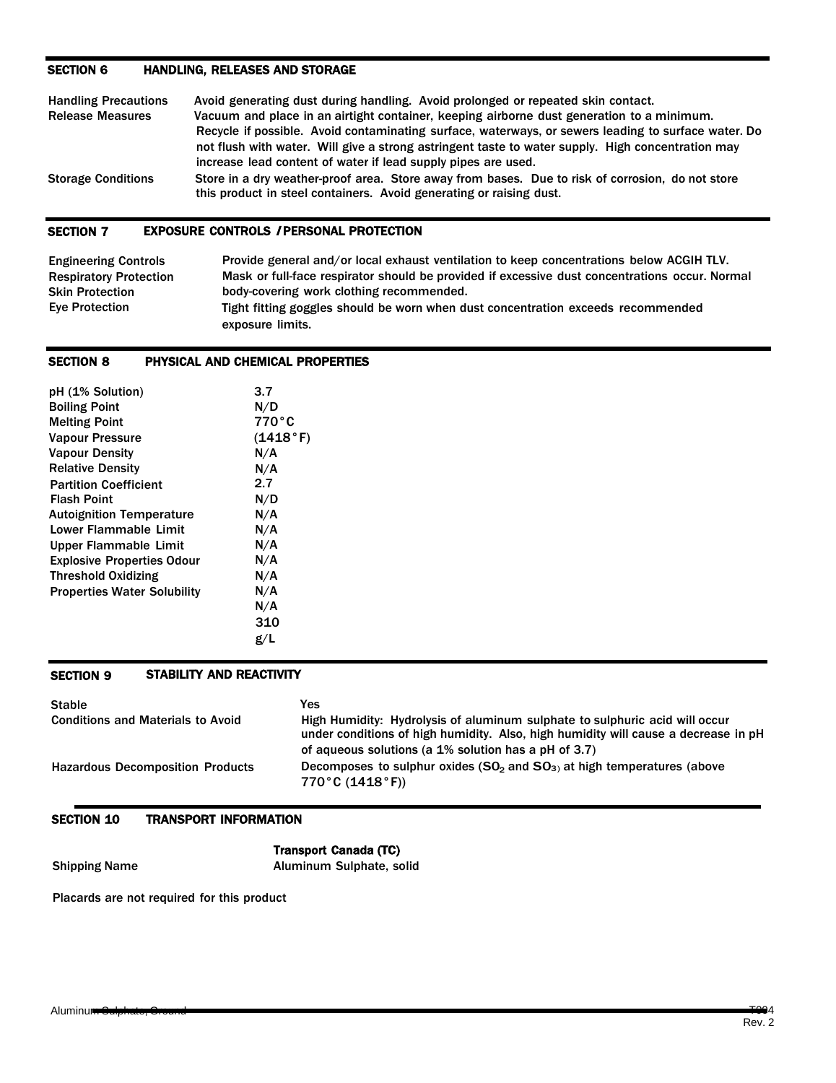# SECTION 6 HANDLING, RELEASES AND STORAGE

| <b>Handling Precautions</b> | Avoid generating dust during handling. Avoid prolonged or repeated skin contact.                                                                                                                                                                                          |
|-----------------------------|---------------------------------------------------------------------------------------------------------------------------------------------------------------------------------------------------------------------------------------------------------------------------|
| <b>Release Measures</b>     | Vacuum and place in an airtight container, keeping airborne dust generation to a minimum.                                                                                                                                                                                 |
|                             | Recycle if possible. Avoid contaminating surface, waterways, or sewers leading to surface water. Do<br>not flush with water. Will give a strong astringent taste to water supply. High concentration may<br>increase lead content of water if lead supply pipes are used. |
| <b>Storage Conditions</b>   | Store in a dry weather-proof area. Store away from bases. Due to risk of corrosion, do not store<br>this product in steel containers. Avoid generating or raising dust.                                                                                                   |

# SECTION 7 EXPOSURE CONTROLS / PERSONAL PROTECTION

| <b>Engineering Controls</b>   | Provide general and/or local exhaust ventilation to keep concentrations below ACGIH TLV.       |
|-------------------------------|------------------------------------------------------------------------------------------------|
| <b>Respiratory Protection</b> | Mask or full-face respirator should be provided if excessive dust concentrations occur. Normal |
| <b>Skin Protection</b>        | body-covering work clothing recommended.                                                       |
| Eve Protection                | Tight fitting goggles should be worn when dust concentration exceeds recommended               |
|                               | exposure limits.                                                                               |

### SECTION 8 PHYSICAL AND CHEMICAL PROPERTIES

| pH (1% Solution)                   | 3.7      |
|------------------------------------|----------|
| <b>Boiling Point</b>               | N/D      |
| <b>Melting Point</b>               | 770°C    |
| <b>Vapour Pressure</b>             | (1418°F) |
| <b>Vapour Density</b>              | N/A      |
| <b>Relative Density</b>            | N/A      |
| <b>Partition Coefficient</b>       | 2.7      |
| <b>Flash Point</b>                 | N/D      |
| <b>Autoignition Temperature</b>    | N/A      |
| Lower Flammable Limit              | N/A      |
| Upper Flammable Limit              | N/A      |
| <b>Explosive Properties Odour</b>  | N/A      |
| <b>Threshold Oxidizing</b>         | N/A      |
| <b>Properties Water Solubility</b> | N/A      |
|                                    | N/A      |
|                                    | 310      |
|                                    | g/L      |

# SECTION 9 STABILITY AND REACTIVITY

| <b>Stable</b>                            | Yes                                                                                                                                                                                                                       |
|------------------------------------------|---------------------------------------------------------------------------------------------------------------------------------------------------------------------------------------------------------------------------|
| <b>Conditions and Materials to Avoid</b> | High Humidity: Hydrolysis of aluminum sulphate to sulphuric acid will occur<br>under conditions of high humidity. Also, high humidity will cause a decrease in pH<br>of aqueous solutions (a 1% solution has a pH of 3.7) |
| <b>Hazardous Decomposition Products</b>  | Decomposes to sulphur oxides $(SO2$ and $SO3$ at high temperatures (above<br>770°C $(1418°F)$                                                                                                                             |

## SECTION 10 TRANSPORT INFORMATION

Transport Canada (TC) Shipping Name **Aluminum Sulphate, solid** 

Placards are not required for this product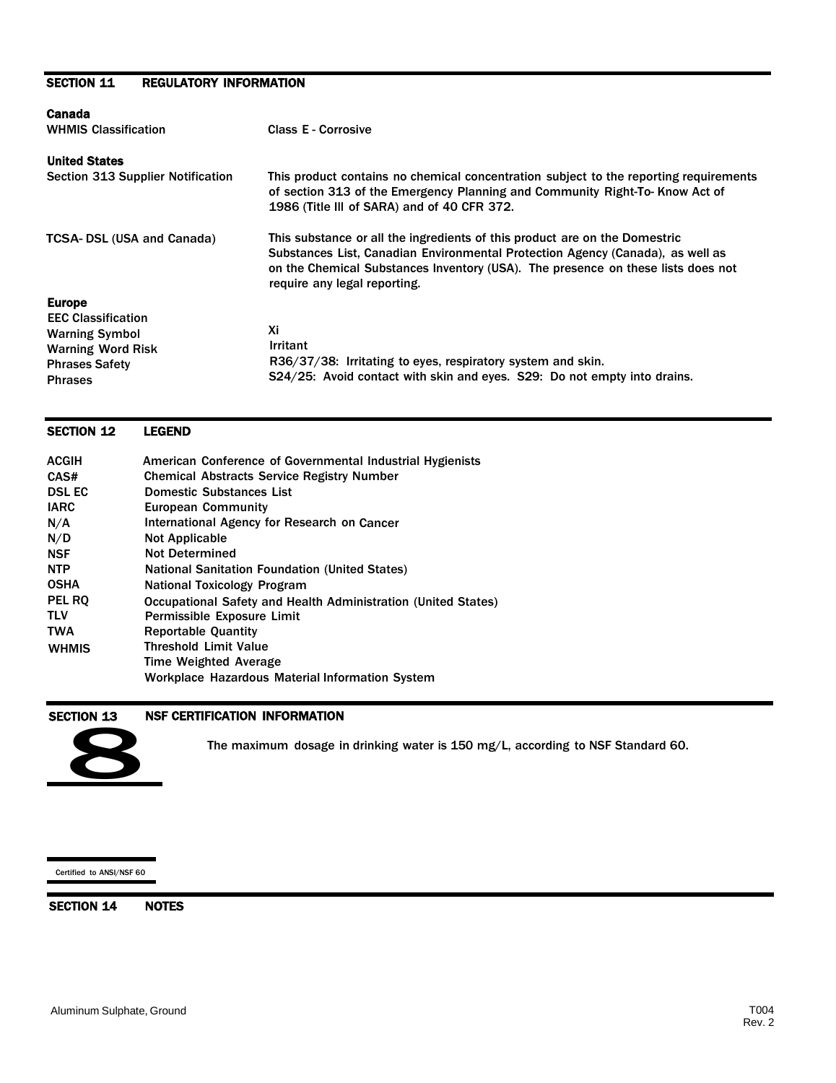# SECTION 11 REGULATORY INFORMATION

| Canada                                                                                                                                     |                                                                                                                                                                                                                                                                                  |
|--------------------------------------------------------------------------------------------------------------------------------------------|----------------------------------------------------------------------------------------------------------------------------------------------------------------------------------------------------------------------------------------------------------------------------------|
| <b>WHMIS Classification</b>                                                                                                                | <b>Class E - Corrosive</b>                                                                                                                                                                                                                                                       |
| <b>United States</b>                                                                                                                       |                                                                                                                                                                                                                                                                                  |
| Section 313 Supplier Notification                                                                                                          | This product contains no chemical concentration subject to the reporting requirements<br>of section 313 of the Emergency Planning and Community Right-To-Know Act of<br>1986 (Title III of SARA) and of 40 CFR 372.                                                              |
| <b>TCSA-DSL (USA and Canada)</b>                                                                                                           | This substance or all the ingredients of this product are on the Domestric<br>Substances List, Canadian Environmental Protection Agency (Canada), as well as<br>on the Chemical Substances Inventory (USA). The presence on these lists does not<br>require any legal reporting. |
| <b>Europe</b><br><b>EEC Classification</b><br><b>Warning Symbol</b><br><b>Warning Word Risk</b><br><b>Phrases Safety</b><br><b>Phrases</b> | Хi<br><b>Irritant</b><br>R36/37/38: Irritating to eyes, respiratory system and skin.<br>S24/25: Avoid contact with skin and eyes. S29: Do not empty into drains.                                                                                                                 |

#### ACGIH CAS# DSL EC IARC N/A N/D **NSF** NTP OSHA PEL RQ TLV TWA **WHMIS** American Conference of Governmental Industrial Hygienists Chemical Abstracts Service Registry Number Domestic Substances List European Community International Agency for Research on Cancer Not Applicable Not Determined National Sanitation Foundation (United States) National Toxicology Program Occupational Safety and Health Administration (United States) Permissible Exposure Limit Reportable Quantity Threshold Limit Value Time Weighted Average Workplace Hazardous Material Information System

### SECTION 13 NSF CERTIFICATION INFORMATION



SECTION 12 LEGEND

STION 13 NSF CERTIFICATION INFORMATION<br>The maximum dosage in drinking water is 150 mg/L, according to NSF Standard 60.

#### Certified to ANSI/NSF 60

SECTION 14 NOTES